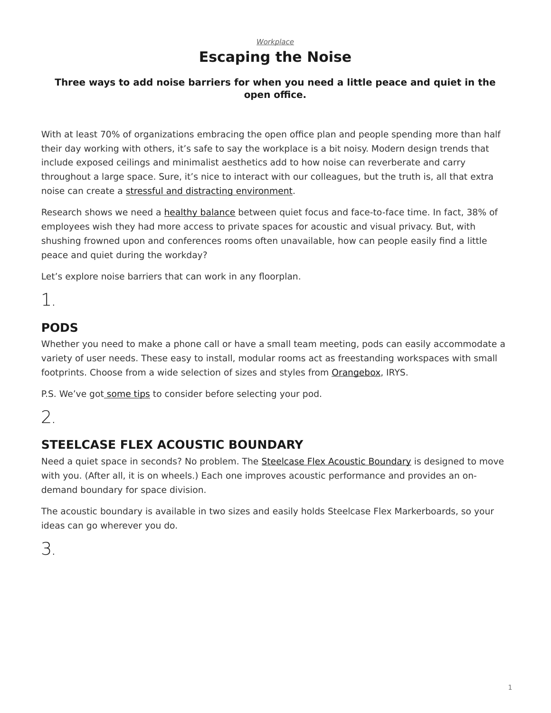#### *[Workplace](https://www.steelcase.com/research/topics/workplace/)* **Escaping the Noise**

#### <span id="page-0-0"></span>**Three ways to add noise barriers for when you need a little peace and quiet in the open office.**

With at least 70% of organizations embracing the open office plan and people spending more than half their day working with others, it's safe to say the workplace is a bit noisy. Modern design trends that include exposed ceilings and minimalist aesthetics add to how noise can reverberate and carry throughout a large space. Sure, it's nice to interact with our colleagues, but the truth is, all that extra noise can create a [stressful and distracting environment](https://www.steelcase.com/research/articles/topics/privacy/privacy-crisis/).

Research shows we need a [healthy balance](https://www.steelcase.com/research/articles/topics/privacy/privacy-openness-balance/) between quiet focus and face-to-face time. In fact, 38% of employees wish they had more access to private spaces for acoustic and visual privacy. But, with shushing frowned upon and conferences rooms often unavailable, how can people easily find a little peace and quiet during the workday?

Let's explore noise barriers that can work in any floorplan.

1.

## **PODS**

Whether you need to make a phone call or have a small team meeting, pods can easily accommodate a variety of user needs. These easy to install, modular rooms act as freestanding workspaces with small footprints. Choose from a wide selection of sizes and styles from [Orangebox](https://www.orangebox.com/products/Air3), IRYS.

P.S. We've got [some tips](https://www.steelcase.com/research/articles/topics/workplace/designing-with-pods/) to consider before selecting your pod.

# 2.

## **STEELCASE FLEX ACOUSTIC BOUNDARY**

Need a quiet space in seconds? No problem. The [Steelcase Flex Acoustic Boundary](https://www.steelcase.com/products/screens/steelcase-flex-acoustic-boundary/) is designed to move with you. (After all, it is on wheels.) Each one improves acoustic performance and provides an ondemand boundary for space division.

The acoustic boundary is available in two sizes and easily holds Steelcase Flex Markerboards, so your ideas can go wherever you do.

3.